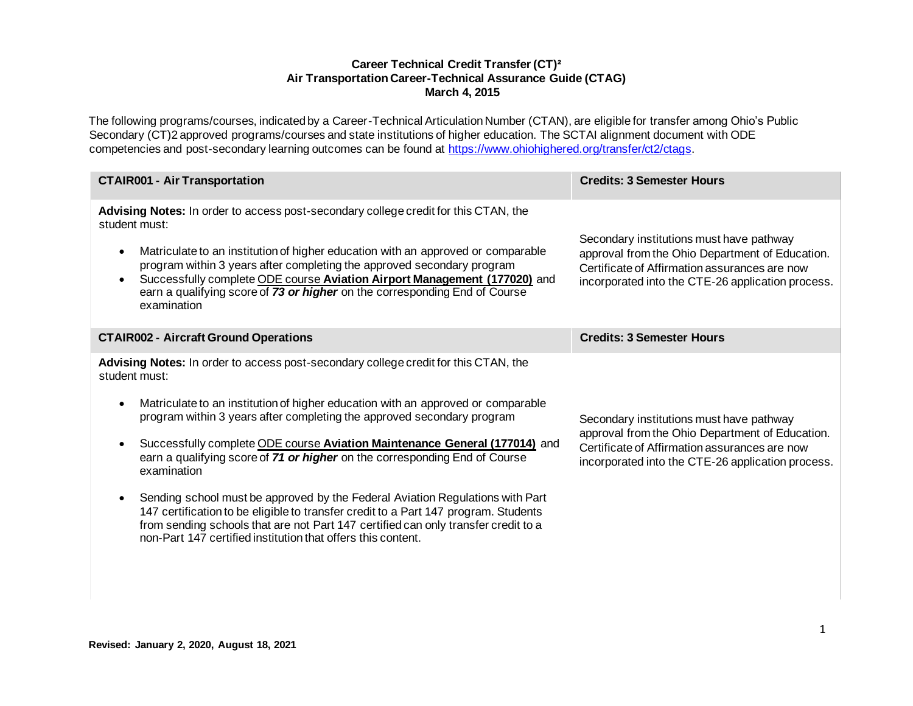### **Career Technical Credit Transfer (CT)² Air Transportation Career-Technical Assurance Guide (CTAG) March 4, 2015**

The following programs/courses, indicated by a Career-Technical Articulation Number (CTAN), are eligible for transfer among Ohio's Public Secondary (CT)2 approved programs/courses and state institutions of higher education. The SCTAI alignment document with ODE competencies and post-secondary learning outcomes can be found at [https://www.ohiohighered.org/transfer/ct2/ctags.](https://www.ohiohighered.org/transfer/ct2/ctags)

| <b>CTAIR001 - Air Transportation</b>                                                                                                                                                                                                                                                                                                                                                                                                         | <b>Credits: 3 Semester Hours</b>                                                                                                                                                                  |
|----------------------------------------------------------------------------------------------------------------------------------------------------------------------------------------------------------------------------------------------------------------------------------------------------------------------------------------------------------------------------------------------------------------------------------------------|---------------------------------------------------------------------------------------------------------------------------------------------------------------------------------------------------|
| Advising Notes: In order to access post-secondary college credit for this CTAN, the<br>student must:<br>Matriculate to an institution of higher education with an approved or comparable<br>program within 3 years after completing the approved secondary program<br>Successfully complete ODE course Aviation Airport Management (177020) and<br>earn a qualifying score of 73 or higher on the corresponding End of Course<br>examination | Secondary institutions must have pathway<br>approval from the Ohio Department of Education.<br>Certificate of Affirmation assurances are now<br>incorporated into the CTE-26 application process. |
| <b>CTAIR002 - Aircraft Ground Operations</b>                                                                                                                                                                                                                                                                                                                                                                                                 | <b>Credits: 3 Semester Hours</b>                                                                                                                                                                  |
| Advising Notes: In order to access post-secondary college credit for this CTAN, the<br>student must:                                                                                                                                                                                                                                                                                                                                         |                                                                                                                                                                                                   |
| Matriculate to an institution of higher education with an approved or comparable<br>program within 3 years after completing the approved secondary program                                                                                                                                                                                                                                                                                   | Secondary institutions must have pathway<br>approval from the Ohio Department of Education.<br>Certificate of Affirmation assurances are now<br>incorporated into the CTE-26 application process. |
| Successfully complete ODE course Aviation Maintenance General (177014) and<br>earn a qualifying score of 71 or higher on the corresponding End of Course<br>examination                                                                                                                                                                                                                                                                      |                                                                                                                                                                                                   |
| Sending school must be approved by the Federal Aviation Regulations with Part<br>147 certification to be eligible to transfer credit to a Part 147 program. Students<br>from sending schools that are not Part 147 certified can only transfer credit to a<br>non-Part 147 certified institution that offers this content.                                                                                                                   |                                                                                                                                                                                                   |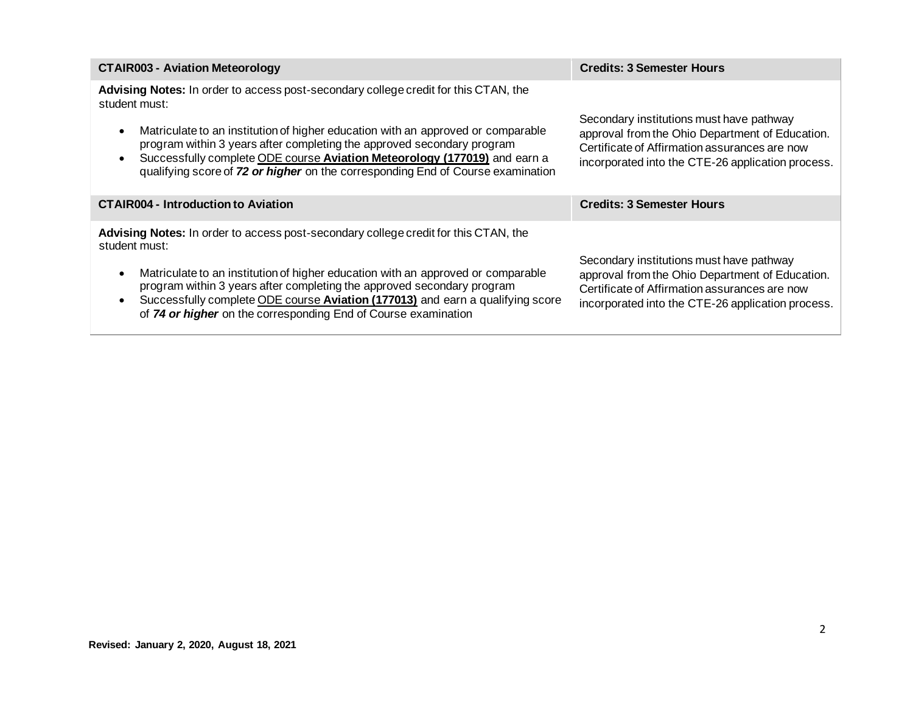| <b>CTAIR003 - Aviation Meteorology</b>                                                                                                                                                                                                                                                                                                                                                                                             | <b>Credits: 3 Semester Hours</b>                                                                                                                                                                  |
|------------------------------------------------------------------------------------------------------------------------------------------------------------------------------------------------------------------------------------------------------------------------------------------------------------------------------------------------------------------------------------------------------------------------------------|---------------------------------------------------------------------------------------------------------------------------------------------------------------------------------------------------|
| Advising Notes: In order to access post-secondary college credit for this CTAN, the<br>student must:<br>Matriculate to an institution of higher education with an approved or comparable<br>program within 3 years after completing the approved secondary program<br>Successfully complete ODE course Aviation Meteorology (177019) and earn a<br>qualifying score of 72 or higher on the corresponding End of Course examination | Secondary institutions must have pathway<br>approval from the Ohio Department of Education.<br>Certificate of Affirmation assurances are now<br>incorporated into the CTE-26 application process. |
| <b>CTAIR004 - Introduction to Aviation</b>                                                                                                                                                                                                                                                                                                                                                                                         | <b>Credits: 3 Semester Hours</b>                                                                                                                                                                  |
| Advising Notes: In order to access post-secondary college credit for this CTAN, the<br>student must:<br>Matriculate to an institution of higher education with an approved or comparable<br>program within 3 years after completing the approved secondary program<br>Successfully complete ODE course Aviation (177013) and earn a qualifying score<br>of 74 or higher on the corresponding End of Course examination             | Secondary institutions must have pathway<br>approval from the Ohio Department of Education.<br>Certificate of Affirmation assurances are now<br>incorporated into the CTE-26 application process. |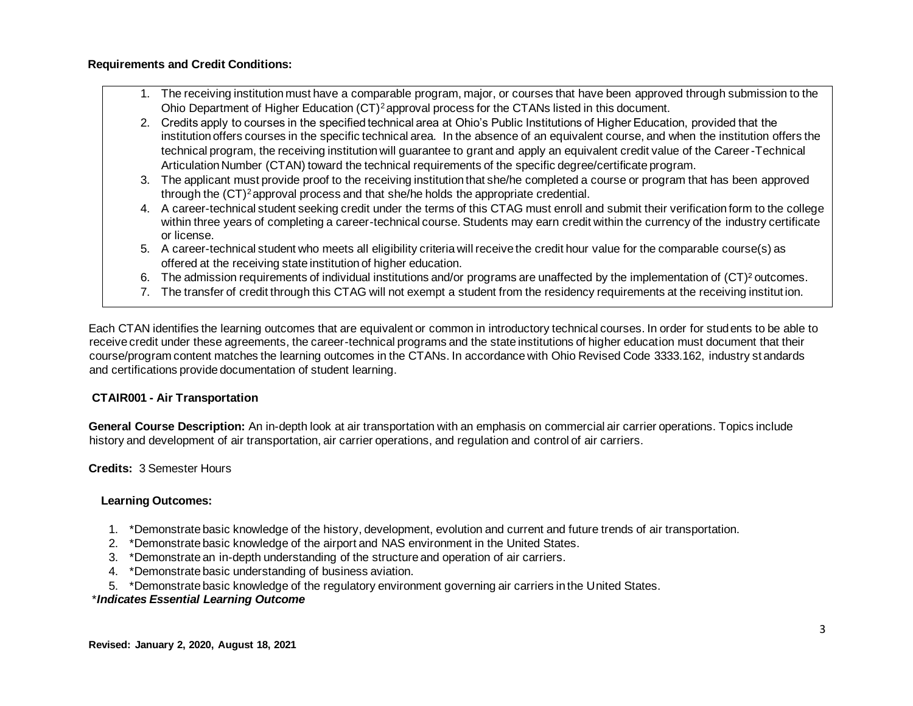### **Requirements and Credit Conditions:**

- 1. The receiving institution must have a comparable program, major, or courses that have been approved through submission to the Ohio Department of Higher Education (CT)<sup>2</sup>approval process for the CTANs listed in this document.
- 2. Credits apply to courses in the specified technical area at Ohio's Public Institutions of Higher Education, provided that the institution offers courses in the specific technical area. In the absence of an equivalent course, and when the institution offers the technical program, the receiving institution will guarantee to grant and apply an equivalent credit value of the Career-Technical Articulation Number (CTAN) toward the technical requirements of the specific degree/certificate program.
- 3. The applicant must provide proof to the receiving institution that she/he completed a course or program that has been approved through the (CT)<sup>2</sup>approval process and that she/he holds the appropriate credential.
- 4. A career-technical student seeking credit under the terms of this CTAG must enroll and submit their verification form to the college within three years of completing a career-technical course. Students may earn credit within the currency of the industry certificate or license.
- 5. A career-technical student who meets all eligibility criteria will receive the credit hour value for the comparable course(s) as offered at the receiving state institution of higher education.
- 6. The admission requirements of individual institutions and/or programs are unaffected by the implementation of (CT)² outcomes.
- 7. The transfer of credit through this CTAG will not exempt a student from the residency requirements at the receiving institut ion.

Each CTAN identifies the learning outcomes that are equivalent or common in introductory technical courses. In order for students to be able to receive credit under these agreements, the career-technical programs and the state institutions of higher education must document that their course/program content matches the learning outcomes in the CTANs. In accordance with Ohio Revised Code 3333.162, industry st andards and certifications provide documentation of student learning.

# **CTAIR001 - Air Transportation**

**General Course Description:** An in-depth look at air transportation with an emphasis on commercial air carrier operations. Topics include history and development of air transportation, air carrier operations, and regulation and control of air carriers.

**Credits:** 3 Semester Hours

### **Learning Outcomes:**

- 1. \*Demonstrate basic knowledge of the history, development, evolution and current and future trends of air transportation.
- 2. \*Demonstrate basic knowledge of the airport and NAS environment in the United States.
- 3. \*Demonstrate an in-depth understanding of the structure and operation of air carriers.
- 4. \*Demonstrate basic understanding of business aviation.
- 5. \*Demonstrate basic knowledge of the regulatory environment governing air carriers in the United States.

# \**Indicates Essential Learning Outcome*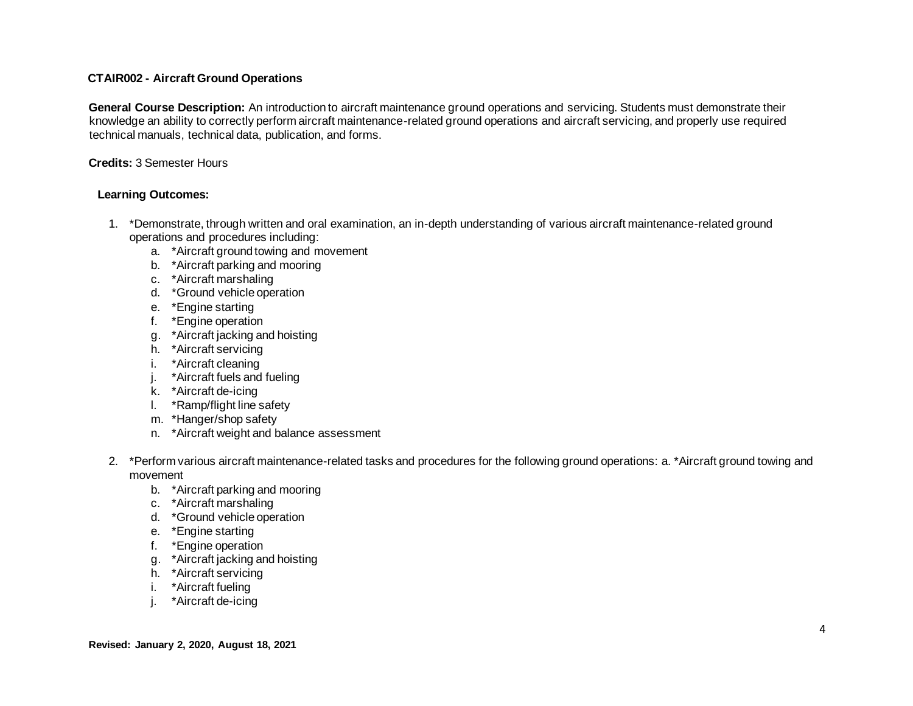### **CTAIR002 - Aircraft Ground Operations**

**General Course Description:** An introduction to aircraft maintenance ground operations and servicing. Students must demonstrate their knowledge an ability to correctly perform aircraft maintenance-related ground operations and aircraft servicing, and properly use required technical manuals, technical data, publication, and forms.

### **Credits:** 3 Semester Hours

### **Learning Outcomes:**

- 1. \*Demonstrate, through written and oral examination, an in-depth understanding of various aircraft maintenance-related ground operations and procedures including:
	- a. \*Aircraft ground towing and movement
	- b. \*Aircraft parking and mooring
	- c. \*Aircraft marshaling
	- d. \*Ground vehicle operation
	- e. \*Engine starting
	- f. \*Engine operation
	- g. \*Aircraft jacking and hoisting
	- h. \*Aircraft servicing
	- i. \*Aircraft cleaning
	- j. \*Aircraft fuels and fueling
	- k. \*Aircraft de-icing
	- l. \*Ramp/flight line safety
	- m. \*Hanger/shop safety
	- n. \*Aircraft weight and balance assessment
- 2. \*Perform various aircraft maintenance-related tasks and procedures for the following ground operations: a. \*Aircraft ground towing and movement
	- b. \*Aircraft parking and mooring
	- c. \*Aircraft marshaling
	- d. \*Ground vehicle operation
	- e. \*Engine starting
	- f. \*Engine operation
	- g. \*Aircraft jacking and hoisting
	- h. \*Aircraft servicing
	- i. \*Aircraft fueling
	- j. \*Aircraft de-icing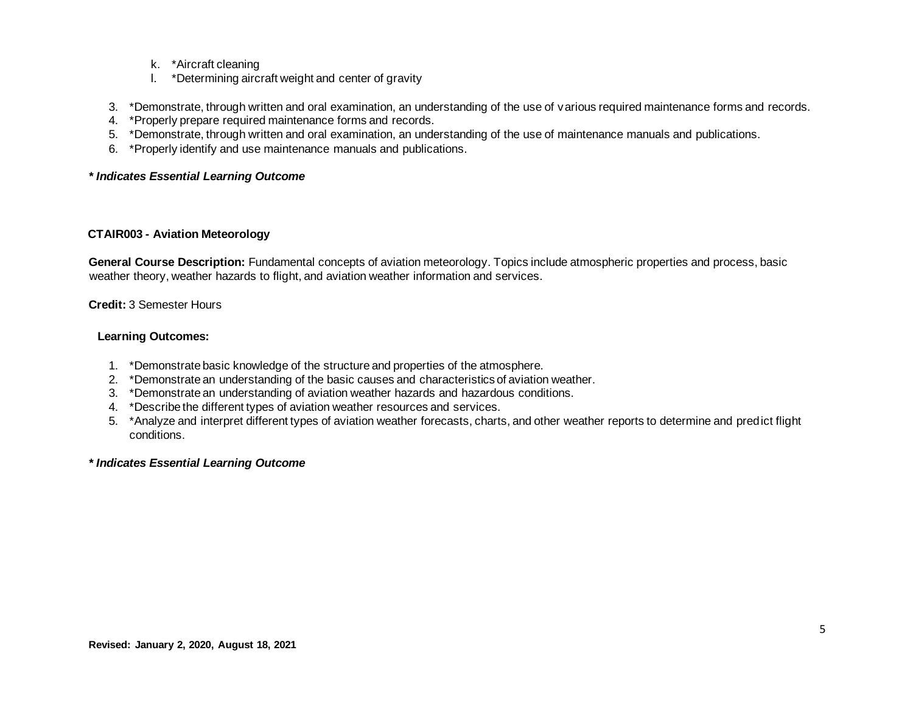- k. \*Aircraft cleaning
- l. \*Determining aircraft weight and center of gravity
- 3. \*Demonstrate, through written and oral examination, an understanding of the use of various required maintenance forms and records.
- 4. \*Properly prepare required maintenance forms and records.
- 5. \*Demonstrate, through written and oral examination, an understanding of the use of maintenance manuals and publications.
- 6. \*Properly identify and use maintenance manuals and publications.

### *\* Indicates Essential Learning Outcome*

#### **CTAIR003 - Aviation Meteorology**

**General Course Description:** Fundamental concepts of aviation meteorology. Topics include atmospheric properties and process, basic weather theory, weather hazards to flight, and aviation weather information and services.

#### **Credit:** 3 Semester Hours

### **Learning Outcomes:**

- 1. \*Demonstrate basic knowledge of the structure and properties of the atmosphere.
- 2. \*Demonstrate an understanding of the basic causes and characteristics of aviation weather.
- 3. \*Demonstrate an understanding of aviation weather hazards and hazardous conditions.
- 4. \*Describe the different types of aviation weather resources and services.
- 5. \*Analyze and interpret different types of aviation weather forecasts, charts, and other weather reports to determine and predict flight conditions.

#### *\* Indicates Essential Learning Outcome*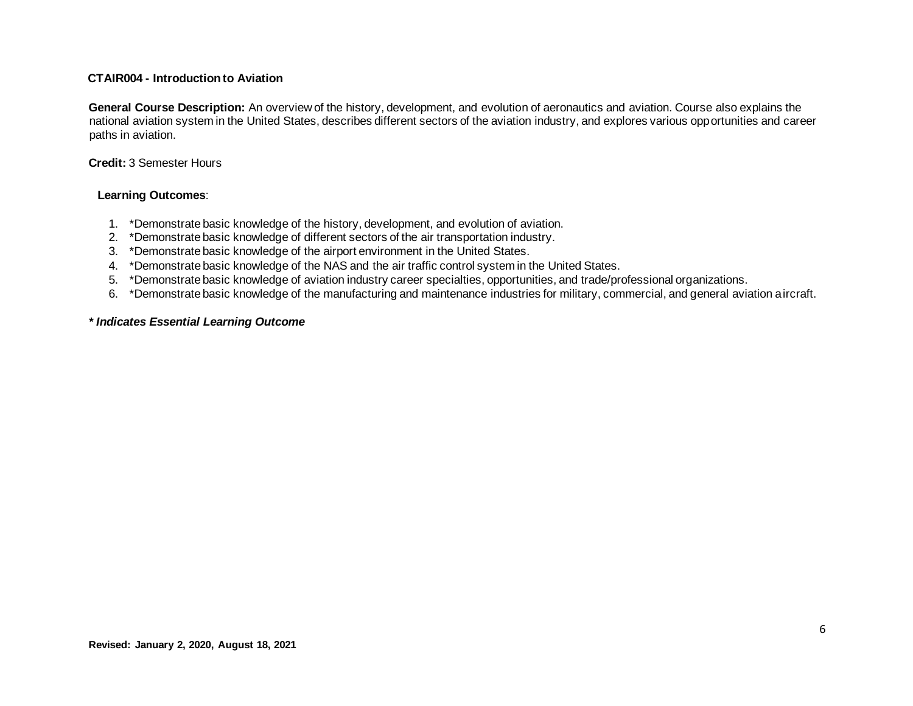#### **CTAIR004 - Introduction to Aviation**

**General Course Description:** An overview of the history, development, and evolution of aeronautics and aviation. Course also explains the national aviation system in the United States, describes different sectors of the aviation industry, and explores various opportunities and career paths in aviation.

#### **Credit:** 3 Semester Hours

#### **Learning Outcomes**:

- 1. \*Demonstrate basic knowledge of the history, development, and evolution of aviation.
- 2. \*Demonstrate basic knowledge of different sectors of the air transportation industry.
- 3. \*Demonstrate basic knowledge of the airport environment in the United States.
- 4. \*Demonstrate basic knowledge of the NAS and the air traffic control system in the United States.
- 5. \*Demonstrate basic knowledge of aviation industry career specialties, opportunities, and trade/professional organizations.
- 6. \*Demonstrate basic knowledge of the manufacturing and maintenance industries for military, commercial, and general aviation aircraft.

### *\* Indicates Essential Learning Outcome*